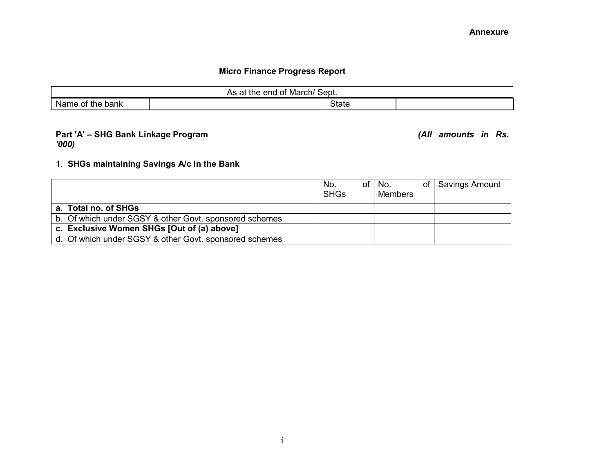## **Micro Finance Progress Report**

| $'$ Sept.<br>March/<br>As at the<br>end of |  |       |  |  |  |  |  |  |  |  |
|--------------------------------------------|--|-------|--|--|--|--|--|--|--|--|
| Name<br>of the bank                        |  | State |  |  |  |  |  |  |  |  |

#### **Part 'A' – SHG Bank Linkage Program** *(All amounts in Rs. '000)*

#### 1. **SHGs maintaining Savings A/c in the Bank**

|                                                        | No.<br><b>SHGs</b> | of l | No.<br><b>Members</b> | of Savings Amount |
|--------------------------------------------------------|--------------------|------|-----------------------|-------------------|
| a. Total no. of SHGs                                   |                    |      |                       |                   |
| b. Of which under SGSY & other Govt. sponsored schemes |                    |      |                       |                   |
| c. Exclusive Women SHGs [Out of (a) above]             |                    |      |                       |                   |
| d. Of which under SGSY & other Govt. sponsored schemes |                    |      |                       |                   |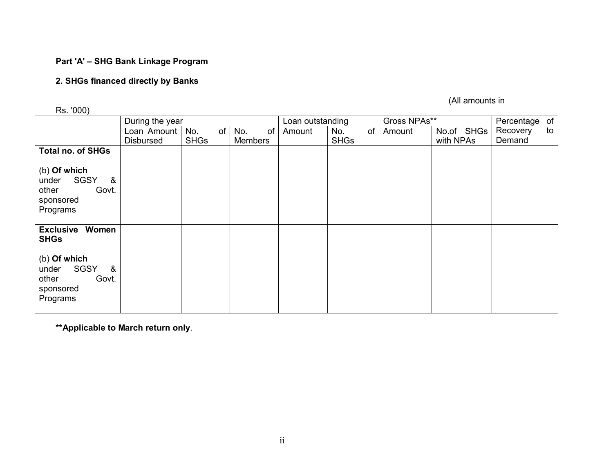#### **Part 'A' – SHG Bank Linkage Program**

#### **2. SHGs financed directly by Banks**

Rs. '000)

(All amounts in

|                                                                               | During the year |             |                |    | Loan outstanding |             | Gross NPAs** |            | Percentage of |    |
|-------------------------------------------------------------------------------|-----------------|-------------|----------------|----|------------------|-------------|--------------|------------|---------------|----|
|                                                                               | Loan Amount     | No.<br>of   | No.            | of | Amount           | of<br>No.   | Amount       | No.of SHGs | Recovery      | to |
|                                                                               | Disbursed       | <b>SHGs</b> | <b>Members</b> |    |                  | <b>SHGs</b> |              | with NPAs  | Demand        |    |
| <b>Total no. of SHGs</b>                                                      |                 |             |                |    |                  |             |              |            |               |    |
| (b) Of which<br>&<br>SGSY<br>under<br>other<br>Govt.<br>sponsored<br>Programs |                 |             |                |    |                  |             |              |            |               |    |
| <b>Exclusive Women</b><br><b>SHGs</b>                                         |                 |             |                |    |                  |             |              |            |               |    |
| (b) Of which<br>&<br>SGSY<br>under<br>other<br>Govt.<br>sponsored<br>Programs |                 |             |                |    |                  |             |              |            |               |    |

**\*\*Applicable to March return only**.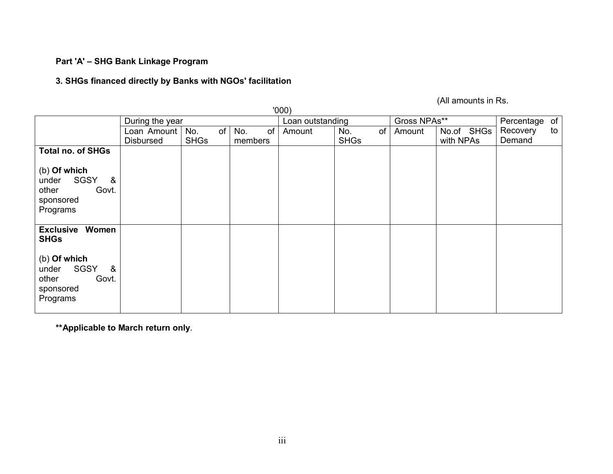#### **Part 'A' – SHG Bank Linkage Program**

#### **3. SHGs financed directly by Banks with NGOs' facilitation**

(All amounts in Rs.

| '000)                                                                         |                                 |                          |                      |                  |                          |              |                         |                    |    |
|-------------------------------------------------------------------------------|---------------------------------|--------------------------|----------------------|------------------|--------------------------|--------------|-------------------------|--------------------|----|
|                                                                               | During the year                 |                          |                      | Loan outstanding |                          | Gross NPAs** |                         | Percentage of      |    |
|                                                                               | Loan Amount<br><b>Disbursed</b> | No.<br>of<br><b>SHGs</b> | of<br>No.<br>members | Amount           | No.<br>of<br><b>SHGs</b> | Amount       | No.of SHGs<br>with NPAs | Recovery<br>Demand | to |
| <b>Total no. of SHGs</b>                                                      |                                 |                          |                      |                  |                          |              |                         |                    |    |
| (b) Of which<br>SGSY<br>&<br>under<br>Govt.<br>other<br>sponsored<br>Programs |                                 |                          |                      |                  |                          |              |                         |                    |    |
| <b>Exclusive Women</b><br><b>SHGs</b>                                         |                                 |                          |                      |                  |                          |              |                         |                    |    |
| (b) Of which<br>SGSY<br>&<br>under<br>Govt.<br>other<br>sponsored<br>Programs |                                 |                          |                      |                  |                          |              |                         |                    |    |

**\*\*Applicable to March return only**.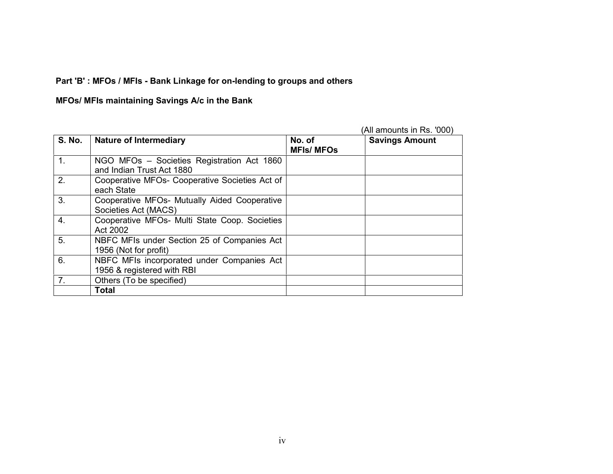# **Part 'B' : MFOs / MFIs - Bank Linkage for on-lending to groups and others**

### **MFOs/ MFIs maintaining Savings A/c in the Bank**

|                |                                                                          |                             | (All amounts in Rs. '000) |
|----------------|--------------------------------------------------------------------------|-----------------------------|---------------------------|
| <b>S. No.</b>  | <b>Nature of Intermediary</b>                                            | No. of<br><b>MFIs/ MFOs</b> | <b>Savings Amount</b>     |
| 1.             | NGO MFOs - Societies Registration Act 1860<br>and Indian Trust Act 1880  |                             |                           |
| 2.             | Cooperative MFOs- Cooperative Societies Act of<br>each State             |                             |                           |
| 3.             | Cooperative MFOs- Mutually Aided Cooperative<br>Societies Act (MACS)     |                             |                           |
| 4.             | Cooperative MFOs- Multi State Coop. Societies<br>Act 2002                |                             |                           |
| 5.             | NBFC MFIs under Section 25 of Companies Act<br>1956 (Not for profit)     |                             |                           |
| 6.             | NBFC MFIs incorporated under Companies Act<br>1956 & registered with RBI |                             |                           |
| 7 <sub>1</sub> | Others (To be specified)                                                 |                             |                           |
|                | <b>Total</b>                                                             |                             |                           |